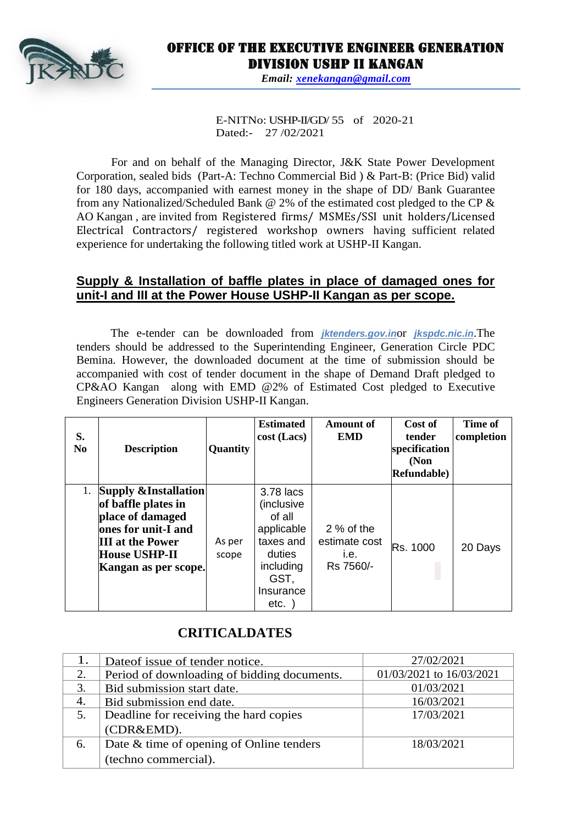

# Office of the Executive Engineer Generation Division USHP II Kangan

*Email: [xenekangan@gmail.com](mailto:xenekangan@gmail.com)*

E-NITNo: USHP-II/GD/ 55 of 2020-21 Dated:- 27 /02/2021

For and on behalf of the Managing Director, J&K State Power Development Corporation, sealed bids (Part-A: Techno Commercial Bid ) & Part-B: (Price Bid) valid for 180 days, accompanied with earnest money in the shape of DD/ Bank Guarantee from any Nationalized/Scheduled Bank @ 2% of the estimated cost pledged to the CP & AO Kangan , are invited from Registered firms/ MSMEs/SSI unit holders/Licensed Electrical Contractors/ registered workshop owners having sufficient related experience for undertaking the following titled work at USHP-II Kangan.

### **Supply & Installation of baffle plates in place of damaged ones for unit-I and III at the Power House USHP-II Kangan as per scope.**

The e-tender can be downloaded from *jktenders.gov.in*or *jkspdc.nic.in*.The tenders should be addressed to the Superintending Engineer, Generation Circle PDC Bemina. However, the downloaded document at the time of submission should be accompanied with cost of tender document in the shape of Demand Draft pledged to CP&AO Kangan along with EMD @2% of Estimated Cost pledged to Executive Engineers Generation Division USHP-II Kangan.

| S.<br>N <sub>0</sub> | <b>Description</b>                                                                                                                                                           | Quantity        | <b>Estimated</b><br>cost (Lacs)                                                     | <b>Amount of</b><br><b>EMD</b>                   | Cost of<br>tender<br>specification<br>(Non<br><b>Refundable</b> ) | Time of<br>completion |
|----------------------|------------------------------------------------------------------------------------------------------------------------------------------------------------------------------|-----------------|-------------------------------------------------------------------------------------|--------------------------------------------------|-------------------------------------------------------------------|-----------------------|
| 1.                   | <b>Supply &amp;Installation</b><br>of baffle plates in<br>place of damaged<br>ones for unit-I and<br><b>III</b> at the Power<br><b>House USHP-II</b><br>Kangan as per scope. | As per<br>scope | 3.78 lacs<br>(inclusive<br>of all<br>applicable<br>taxes and<br>duties<br>including | 2 % of the<br>estimate cost<br>i.e.<br>Rs 7560/- | Rs. 1000                                                          | 20 Days               |
|                      |                                                                                                                                                                              |                 | GST,<br>Insurance<br>etc.                                                           |                                                  |                                                                   |                       |

## **CRITICALDATES**

|    | Date of issue of tender notice.             | 27/02/2021               |  |
|----|---------------------------------------------|--------------------------|--|
|    | Period of downloading of bidding documents. | 01/03/2021 to 16/03/2021 |  |
|    | Bid submission start date.                  | 01/03/2021               |  |
| 4. | Bid submission end date.                    | 16/03/2021               |  |
|    | Deadline for receiving the hard copies      | 17/03/2021               |  |
|    | (CDR&EMD).                                  |                          |  |
| 6. | Date & time of opening of Online tenders    | 18/03/2021               |  |
|    | (techno commercial).                        |                          |  |